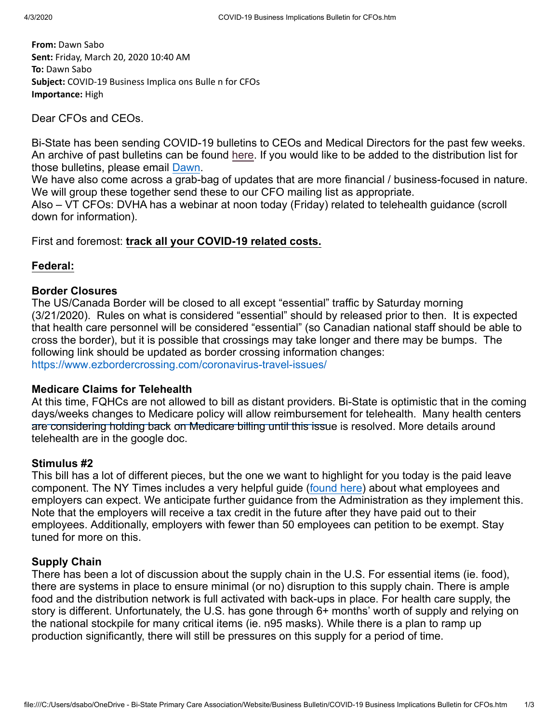**From:** Dawn Sabo **Sent:** Friday, March 20, 2020 10:40 AM **To:** Dawn Sabo **Subject:** COVID-19 Business Implica ons Bulle n for CFOs **Importance:** High

Dear CFOs and CEOs.

Bi-State has been sending COVID-19 bulletins to CEOs and Medical Directors for the past few weeks. An archive of past bulletins can be found [here](https://bistatepca.org/health-center-resources/covid-bulletins-resources/bi-state-covid-19-bulletins). If you would like to be added to the distribution list for those bulletins, please email [Dawn](mailto:dsabo@bistatepca.org).

We have also come across a grab-bag of updates that are more financial / business-focused in nature. We will group these together send these to our CFO mailing list as appropriate.

Also – VT CFOs: DVHA has a webinar at noon today (Friday) related to telehealth guidance (scroll down for information).

First and foremost: **track all your COVID-19 related costs.**

#### **Federal:**

#### **Border Closures**

The US/Canada Border will be closed to all except "essential" traffic by Saturday morning (3/21/2020). Rules on what is considered "essential" should by released prior to then. It is expected that health care personnel will be considered "essential" (so Canadian national staff should be able to cross the border), but it is possible that crossings may take longer and there may be bumps. The following link should be updated as border crossing information changes: <https://www.ezbordercrossing.com/coronavirus-travel-issues/>

#### **Medicare Claims for Telehealth**

At this time, FQHCs are not allowed to bill as distant providers. Bi-State is optimistic that in the coming days/weeks changes to Medicare policy will allow reimbursement for telehealth. Many health centers are considering holding back on Medicare billing until this issue is resolved. More details around telehealth are in the google doc.

#### **Stimulus #2**

This bill has a lot of different pieces, but the one we want to highlight for you today is the paid leave component. The NY Times includes a very helpful guide ([found here\)](https://www.nytimes.com/2020/03/19/upshot/coronavirus-paid-leave-guide.html) about what employees and employers can expect. We anticipate further guidance from the Administration as they implement this. Note that the employers will receive a tax credit in the future after they have paid out to their employees. Additionally, employers with fewer than 50 employees can petition to be exempt. Stay tuned for more on this.

#### **Supply Chain**

There has been a lot of discussion about the supply chain in the U.S. For essential items (ie. food), there are systems in place to ensure minimal (or no) disruption to this supply chain. There is ample food and the distribution network is full activated with back-ups in place. For health care supply, the story is different. Unfortunately, the U.S. has gone through 6+ months' worth of supply and relying on the national stockpile for many critical items (ie. n95 masks). While there is a plan to ramp up production significantly, there will still be pressures on this supply for a period of time.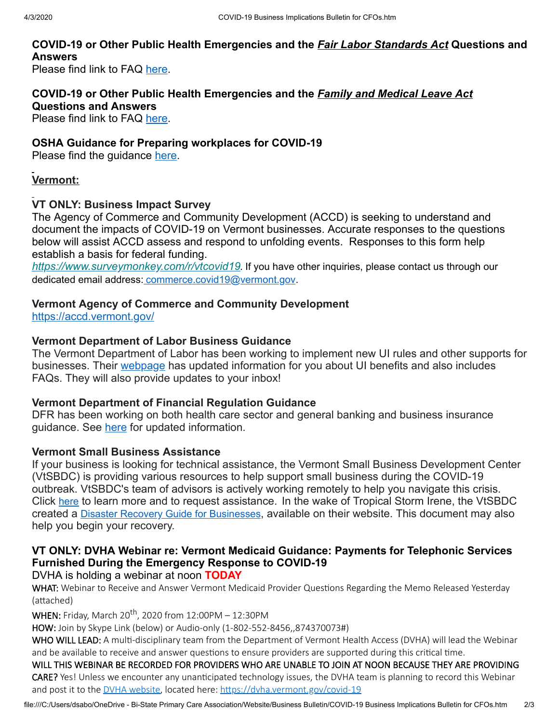#### **COVID-19 or Other Public Health Emergencies and the** *Fair Labor Standards Act* **Questions and Answers**

Please find link to FAQ [here](https://www.dol.gov/agencies/whd/flsa/pandemic).

## **COVID-19 or Other Public Health Emergencies and the** *Family and Medical Leave Act* **Questions and Answers**

Please find link to FAQ [here](https://www.dol.gov/agencies/whd/fmla/pandemic).

#### **OSHA Guidance for Preparing workplaces for COVID-19**

Please find the guidance [here.](https://www.nh.gov/labor/documents/OSHA3990.pdf)

#### **Vermont:**

#### **VT ONLY: Business Impact Survey**

The Agency of Commerce and Community Development (ACCD) is seeking to understand and document the impacts of COVID-19 on Vermont businesses. Accurate responses to the questions below will assist ACCD assess and respond to unfolding events. Responses to this form help establish a basis for federal funding.

*[https://www.surveymonkey.com/r/vtcovid19](https://fivevineconsulting.us19.list-manage.com/track/click?u=9fd1f3880161b55568920839a&id=070f415f97&e=722c176aa7).* If you have other inquiries, please contact us through our dedicated email address: [commerce.covid19@vermont.gov](mailto:commerce.covid19@vermont.gov).

#### **Vermont Agency of Commerce and Community Development**

<https://accd.vermont.gov/>

#### **Vermont Department of Labor Business Guidance**

The Vermont Department of Labor has been working to implement new UI rules and other supports for businesses. Their [webpage](https://labor.vermont.gov/covid19) has updated information for you about UI benefits and also includes FAQs. They will also provide updates to your inbox!

#### **Vermont Department of Financial Regulation Guidance**

DFR has been working on both health care sector and general banking and business insurance guidance. See [here](https://dfr.vermont.gov/about-us/covid-19) for updated information.

#### **Vermont Small Business Assistance**

If your business is looking for technical assistance, the Vermont Small Business Development Center (VtSBDC) is providing various resources to help support small business during the COVID-19 outbreak. VtSBDC's team of advisors is actively working remotely to help you navigate this crisis. Click [here](https://vermont.us3.list-manage.com/track/click?u=ff50346b45ae607c4e55c01ec&id=368a8c7ba6&e=9c4c54c3a4) to learn more and to request assistance. In the wake of Tropical Storm Irene, the VtSBDC created a Disaster Recovery Guide for [Businesses](https://vermont.us3.list-manage.com/track/click?u=ff50346b45ae607c4e55c01ec&id=14336953cd&e=9c4c54c3a4), available on their website. This document may also help you begin your recovery.

### **VT ONLY: DVHA Webinar re: Vermont Medicaid Guidance: Payments for Telephonic Services Furnished During the Emergency Response to COVID-19**

#### DVHA is holding a webinar at noon **TODAY**

WHAT: Webinar to Receive and Answer Vermont Medicaid Provider Questions Regarding the Memo Released Yesterday (attached)

 $\textsf{WHEN:}$  Friday, March 20 $\textsf{^{th}}$ , 2020 from 12:00PM – 12:30PM

HOW: Join by Skype Link (below) or Audio-only (1-802-552-8456,,874370073#)

WHO WILL LEAD: A multi-disciplinary team from the Department of Vermont Health Access (DVHA) will lead the Webinar and be available to receive and answer questions to ensure providers are supported during this critical time.

#### WILL THIS WEBINAR BE RECORDED FOR PROVIDERS WHO ARE UNABLE TO JOIN AT NOON BECAUSE THEY ARE PROVIDING

CARE? Yes! Unless we encounter any unanticipated technology issues, the DVHA team is planning to record this Webinar and post it to the DVHA [website,](https://dvha.vermont.gov/covid-19) located here: https://dvha.vermont.gov/covid-19